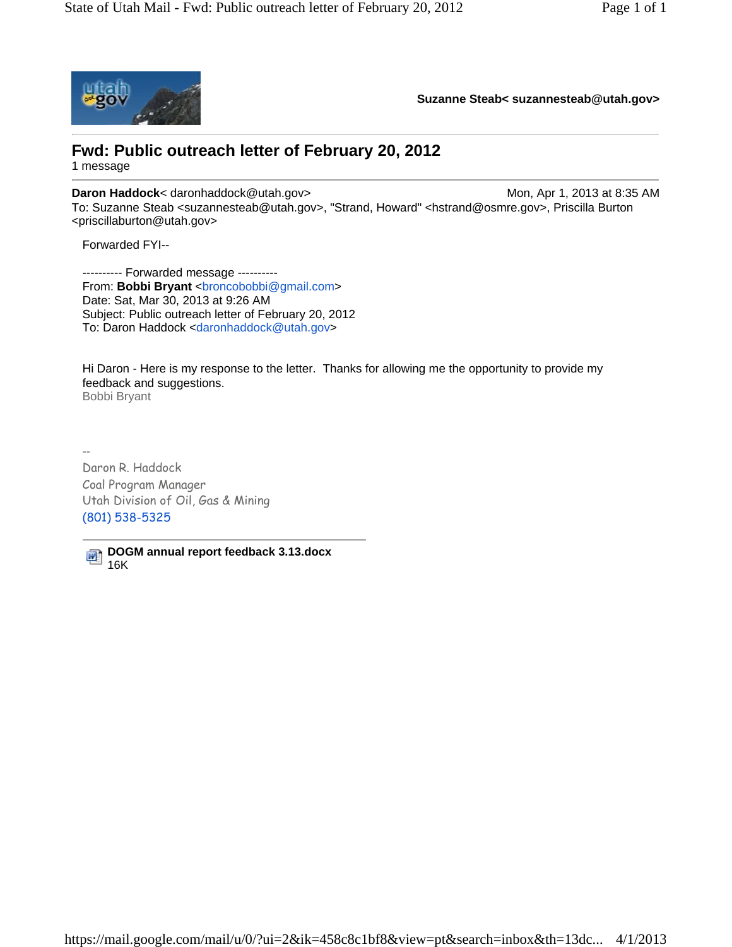

**Suzanne Steab< suzannesteab@utah.gov>**

## **Fwd: Public outreach letter of February 20, 2012**

1 message

**Daron Haddock**< daronhaddock@utah.gov> Mon, Apr 1, 2013 at 8:35 AM To: Suzanne Steab <suzannesteab@utah.gov>, "Strand, Howard" <hstrand@osmre.gov>, Priscilla Burton <priscillaburton@utah.gov>

Forwarded FYI--

---------- Forwarded message ---------- From: Bobbi Bryant <br/>broncobobbi@gmail.com> Date: Sat, Mar 30, 2013 at 9:26 AM Subject: Public outreach letter of February 20, 2012 To: Daron Haddock <daronhaddock@utah.gov>

Hi Daron - Here is my response to the letter. Thanks for allowing me the opportunity to provide my feedback and suggestions. Bobbi Bryant

-- Daron R. Haddock Coal Program Manager Utah Division of Oil, Gas & Mining (801) 538-5325

**DOGM annual report feedback 3.13.docx** 16K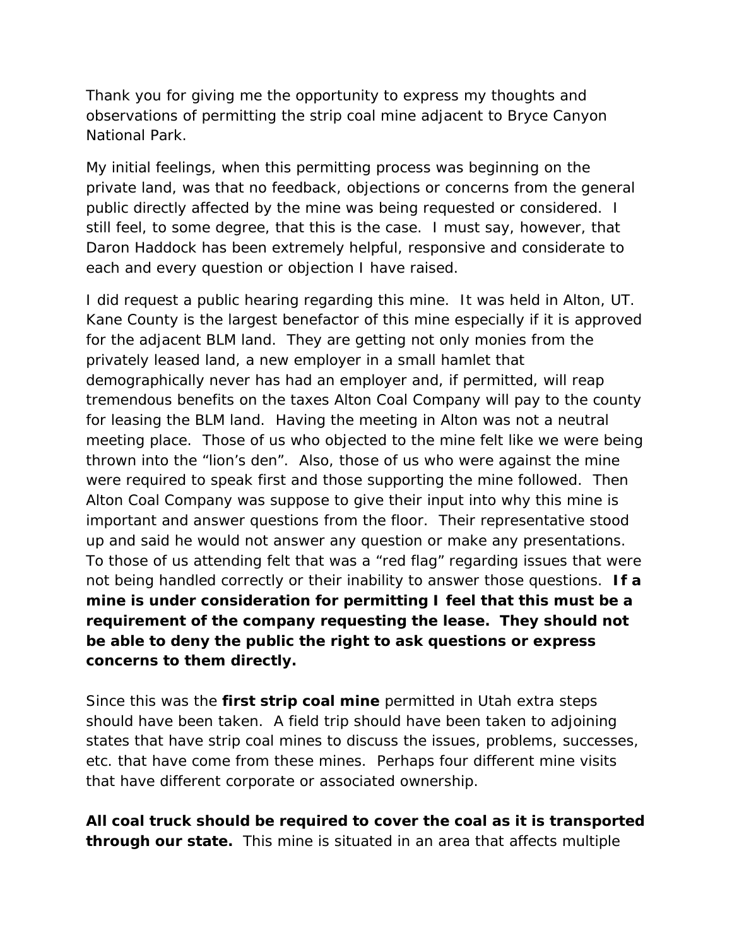Thank you for giving me the opportunity to express my thoughts and observations of permitting the strip coal mine adjacent to Bryce Canyon National Park.

My initial feelings, when this permitting process was beginning on the private land, was that no feedback, objections or concerns from the general public directly affected by the mine was being requested or considered. I still feel, to some degree, that this is the case. I must say, however, that Daron Haddock has been extremely helpful, responsive and considerate to each and every question or objection I have raised.

I did request a public hearing regarding this mine. It was held in Alton, UT. Kane County is the largest benefactor of this mine especially if it is approved for the adjacent BLM land. They are getting not only monies from the privately leased land, a new employer in a small hamlet that demographically never has had an employer and, if permitted, will reap tremendous benefits on the taxes Alton Coal Company will pay to the county for leasing the BLM land. Having the meeting in Alton was not a neutral meeting place. Those of us who objected to the mine felt like we were being thrown into the "lion's den". Also, those of us who were against the mine were required to speak first and those supporting the mine followed. Then Alton Coal Company was suppose to give their input into why this mine is important and answer questions from the floor. Their representative stood up and said he would not answer any question or make any presentations. To those of us attending felt that was a "red flag" regarding issues that were not being handled correctly or their inability to answer those questions. **If a mine is under consideration for permitting I feel that this must be a requirement of the company requesting the lease. They should not be able to deny the public the right to ask questions or express concerns to them directly.** 

Since this was the **first strip coal mine** permitted in Utah extra steps should have been taken. A field trip should have been taken to adjoining states that have strip coal mines to discuss the issues, problems, successes, etc. that have come from these mines. Perhaps four different mine visits that have different corporate or associated ownership.

**All coal truck should be required to cover the coal as it is transported through our state.** This mine is situated in an area that affects multiple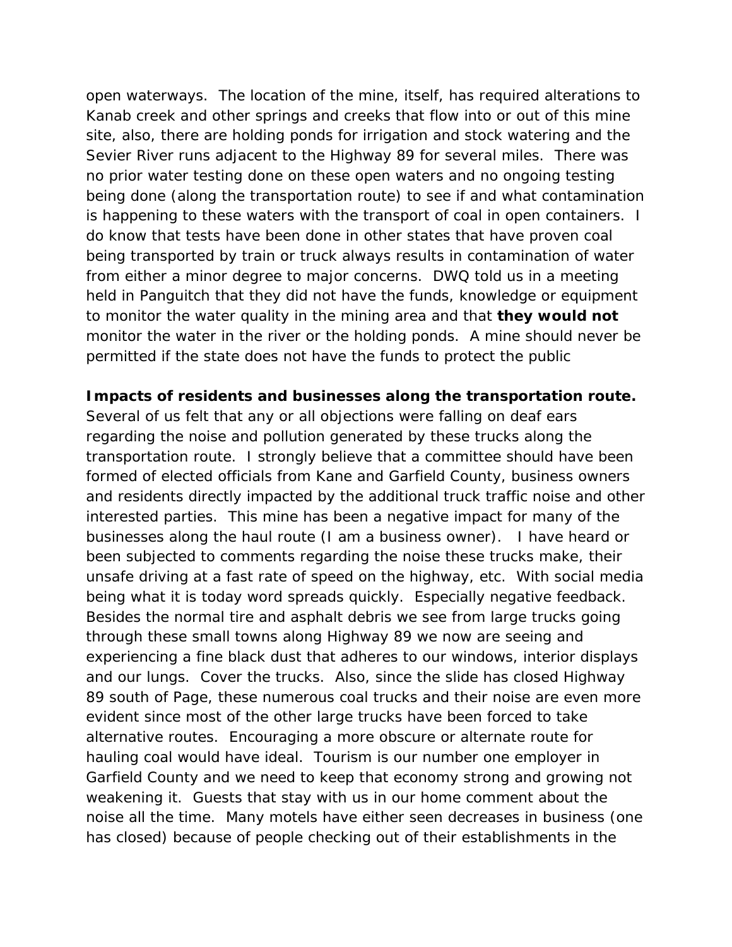open waterways. The location of the mine, itself, has required alterations to Kanab creek and other springs and creeks that flow into or out of this mine site, also, there are holding ponds for irrigation and stock watering and the Sevier River runs adjacent to the Highway 89 for several miles. There was no prior water testing done on these open waters and no ongoing testing being done (along the transportation route) to see if and what contamination is happening to these waters with the transport of coal in open containers. I do know that tests have been done in other states that have proven coal being transported by train or truck always results in contamination of water from either a minor degree to major concerns. DWQ told us in a meeting held in Panguitch that they did not have the funds, knowledge or equipment to monitor the water quality in the mining area and that **they would not**  monitor the water in the river or the holding ponds. A mine should never be permitted if the state does not have the funds to protect the public

**Impacts of residents and businesses along the transportation route.** Several of us felt that any or all objections were falling on deaf ears regarding the noise and pollution generated by these trucks along the transportation route. I strongly believe that a committee should have been formed of elected officials from Kane and Garfield County, business owners and residents directly impacted by the additional truck traffic noise and other interested parties. This mine has been a negative impact for many of the businesses along the haul route (I am a business owner). I have heard or been subjected to comments regarding the noise these trucks make, their unsafe driving at a fast rate of speed on the highway, etc. With social media being what it is today word spreads quickly. Especially negative feedback. Besides the normal tire and asphalt debris we see from large trucks going through these small towns along Highway 89 we now are seeing and experiencing a fine black dust that adheres to our windows, interior displays and our lungs. Cover the trucks. Also, since the slide has closed Highway 89 south of Page, these numerous coal trucks and their noise are even more evident since most of the other large trucks have been forced to take alternative routes. Encouraging a more obscure or alternate route for hauling coal would have ideal. Tourism is our number one employer in Garfield County and we need to keep that economy strong and growing not weakening it. Guests that stay with us in our home comment about the noise all the time. Many motels have either seen decreases in business (one has closed) because of people checking out of their establishments in the